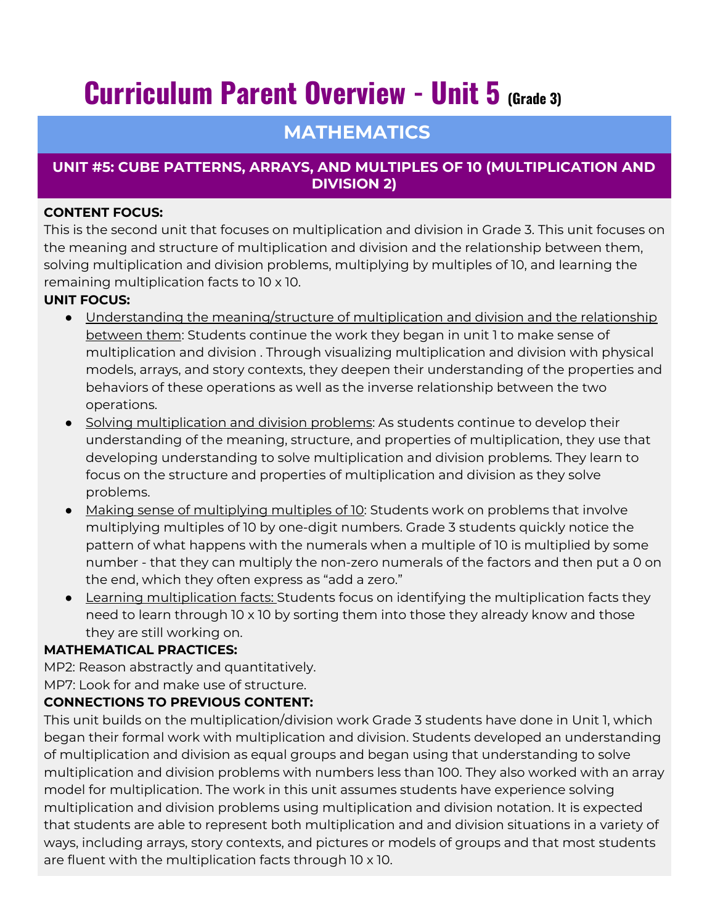# **Curriculum Parent Overview - Unit 5 (Grade 3)**

# **MATHEMATICS**

## **UNIT #5: CUBE PATTERNS, ARRAYS, AND MULTIPLES OF 10 (MULTIPLICATION AND DIVISION 2)**

#### **CONTENT FOCUS:**

This is the second unit that focuses on multiplication and division in Grade 3. This unit focuses on the meaning and structure of multiplication and division and the relationship between them, solving multiplication and division problems, multiplying by multiples of 10, and learning the remaining multiplication facts to 10 x 10.

### **UNIT FOCUS:**

- Understanding the meaning/structure of multiplication and division and the relationship between them: Students continue the work they began in unit 1 to make sense of multiplication and division . Through visualizing multiplication and division with physical models, arrays, and story contexts, they deepen their understanding of the properties and behaviors of these operations as well as the inverse relationship between the two operations.
- Solving multiplication and division problems: As students continue to develop their understanding of the meaning, structure, and properties of multiplication, they use that developing understanding to solve multiplication and division problems. They learn to focus on the structure and properties of multiplication and division as they solve problems.
- Making sense of multiplying multiples of 10: Students work on problems that involve multiplying multiples of 10 by one-digit numbers. Grade 3 students quickly notice the pattern of what happens with the numerals when a multiple of 10 is multiplied by some number - that they can multiply the non-zero numerals of the factors and then put a 0 on the end, which they often express as "add a zero."
- Learning multiplication facts: Students focus on identifying the multiplication facts they need to learn through 10 x 10 by sorting them into those they already know and those they are still working on.

### **MATHEMATICAL PRACTICES:**

MP2: Reason abstractly and quantitatively.

MP7: Look for and make use of structure.

### **CONNECTIONS TO PREVIOUS CONTENT:**

This unit builds on the multiplication/division work Grade 3 students have done in Unit 1, which began their formal work with multiplication and division. Students developed an understanding of multiplication and division as equal groups and began using that understanding to solve multiplication and division problems with numbers less than 100. They also worked with an array model for multiplication. The work in this unit assumes students have experience solving multiplication and division problems using multiplication and division notation. It is expected that students are able to represent both multiplication and and division situations in a variety of ways, including arrays, story contexts, and pictures or models of groups and that most students are fluent with the multiplication facts through 10 x 10.